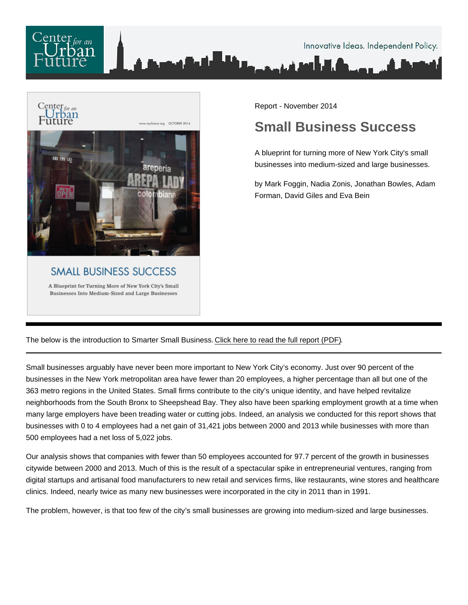

Report - November 2014

## Small Business Success

A blueprint for turning more of New York City's small businesses into medium-sized and large businesses.

by Mark Foggin, Nadia Zonis, Jonathan Bowles, Adam Forman, David Giles and Eva Bein

The below is the introduction to Smarter Small Business. [Click here to read the full report \(PDF\).](/pdf/Small-Business-Success.pdf)

Small businesses arguably have never been more important to New York City's economy. Just over 90 percent of the businesses in the New York metropolitan area have fewer than 20 employees, a higher percentage than all but one of the 363 metro regions in the United States. Small firms contribute to the city's unique identity, and have helped revitalize neighborhoods from the South Bronx to Sheepshead Bay. They also have been sparking employment growth at a time when many large employers have been treading water or cutting jobs. Indeed, an analysis we conducted for this report shows that businesses with 0 to 4 employees had a net gain of 31,421 jobs between 2000 and 2013 while businesses with more than 500 employees had a net loss of 5,022 jobs.

Our analysis shows that companies with fewer than 50 employees accounted for 97.7 percent of the growth in businesses citywide between 2000 and 2013. Much of this is the result of a spectacular spike in entrepreneurial ventures, ranging from digital startups and artisanal food manufacturers to new retail and services firms, like restaurants, wine stores and healthcare clinics. Indeed, nearly twice as many new businesses were incorporated in the city in 2011 than in 1991.

The problem, however, is that too few of the city's small businesses are growing into medium-sized and large businesses.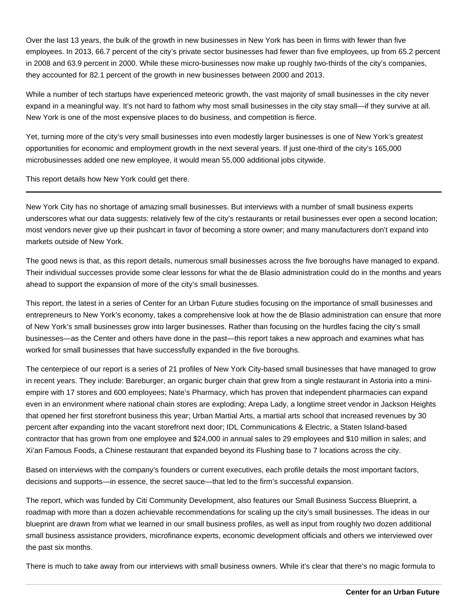Over the last 13 years, the bulk of the growth in new businesses in New York has been in firms with fewer than five employees. In 2013, 66.7 percent of the city's private sector businesses had fewer than five employees, up from 65.2 percent in 2008 and 63.9 percent in 2000. While these micro-businesses now make up roughly two-thirds of the city's companies, they accounted for 82.1 percent of the growth in new businesses between 2000 and 2013.

While a number of tech startups have experienced meteoric growth, the vast majority of small businesses in the city never expand in a meaningful way. It's not hard to fathom why most small businesses in the city stay small—if they survive at all. New York is one of the most expensive places to do business, and competition is fierce.

Yet, turning more of the city's very small businesses into even modestly larger businesses is one of New York's greatest opportunities for economic and employment growth in the next several years. If just one-third of the city's 165,000 microbusinesses added one new employee, it would mean 55,000 additional jobs citywide.

This report details how New York could get there.

New York City has no shortage of amazing small businesses. But interviews with a number of small business experts underscores what our data suggests: relatively few of the city's restaurants or retail businesses ever open a second location; most vendors never give up their pushcart in favor of becoming a store owner; and many manufacturers don't expand into markets outside of New York.

The good news is that, as this report details, numerous small businesses across the five boroughs have managed to expand. Their individual successes provide some clear lessons for what the de Blasio administration could do in the months and years ahead to support the expansion of more of the city's small businesses.

This report, the latest in a series of Center for an Urban Future studies focusing on the importance of small businesses and entrepreneurs to New York's economy, takes a comprehensive look at how the de Blasio administration can ensure that more of New York's small businesses grow into larger businesses. Rather than focusing on the hurdles facing the city's small businesses—as the Center and others have done in the past—this report takes a new approach and examines what has worked for small businesses that have successfully expanded in the five boroughs.

The centerpiece of our report is a series of 21 profiles of New York City-based small businesses that have managed to grow in recent years. They include: Bareburger, an organic burger chain that grew from a single restaurant in Astoria into a miniempire with 17 stores and 600 employees; Nate's Pharmacy, which has proven that independent pharmacies can expand even in an environment where national chain stores are exploding; Arepa Lady, a longtime street vendor in Jackson Heights that opened her first storefront business this year; Urban Martial Arts, a martial arts school that increased revenues by 30 percent after expanding into the vacant storefront next door; IDL Communications & Electric, a Staten Island-based contractor that has grown from one employee and \$24,000 in annual sales to 29 employees and \$10 million in sales; and Xi'an Famous Foods, a Chinese restaurant that expanded beyond its Flushing base to 7 locations across the city.

Based on interviews with the company's founders or current executives, each profile details the most important factors, decisions and supports—in essence, the secret sauce—that led to the firm's successful expansion.

The report, which was funded by Citi Community Development, also features our Small Business Success Blueprint, a roadmap with more than a dozen achievable recommendations for scaling up the city's small businesses. The ideas in our blueprint are drawn from what we learned in our small business profiles, as well as input from roughly two dozen additional small business assistance providers, microfinance experts, economic development officials and others we interviewed over the past six months.

There is much to take away from our interviews with small business owners. While it's clear that there's no magic formula to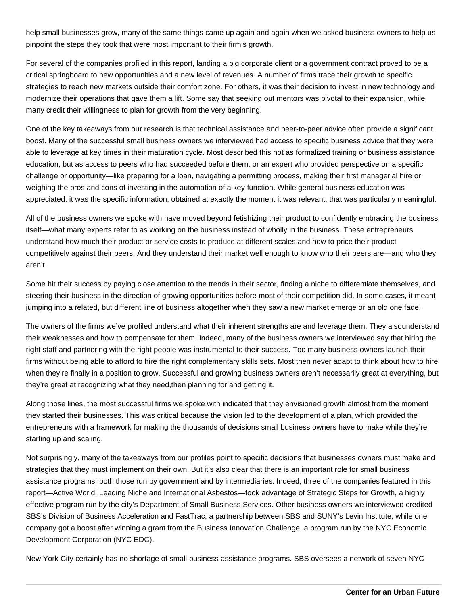help small businesses grow, many of the same things came up again and again when we asked business owners to help us pinpoint the steps they took that were most important to their firm's growth.

For several of the companies profiled in this report, landing a big corporate client or a government contract proved to be a critical springboard to new opportunities and a new level of revenues. A number of firms trace their growth to specific strategies to reach new markets outside their comfort zone. For others, it was their decision to invest in new technology and modernize their operations that gave them a lift. Some say that seeking out mentors was pivotal to their expansion, while many credit their willingness to plan for growth from the very beginning.

One of the key takeaways from our research is that technical assistance and peer-to-peer advice often provide a significant boost. Many of the successful small business owners we interviewed had access to specific business advice that they were able to leverage at key times in their maturation cycle. Most described this not as formalized training or business assistance education, but as access to peers who had succeeded before them, or an expert who provided perspective on a specific challenge or opportunity—like preparing for a loan, navigating a permitting process, making their first managerial hire or weighing the pros and cons of investing in the automation of a key function. While general business education was appreciated, it was the specific information, obtained at exactly the moment it was relevant, that was particularly meaningful.

All of the business owners we spoke with have moved beyond fetishizing their product to confidently embracing the business itself—what many experts refer to as working on the business instead of wholly in the business. These entrepreneurs understand how much their product or service costs to produce at different scales and how to price their product competitively against their peers. And they understand their market well enough to know who their peers are—and who they aren't.

Some hit their success by paying close attention to the trends in their sector, finding a niche to differentiate themselves, and steering their business in the direction of growing opportunities before most of their competition did. In some cases, it meant jumping into a related, but different line of business altogether when they saw a new market emerge or an old one fade.

The owners of the firms we've profiled understand what their inherent strengths are and leverage them. They alsounderstand their weaknesses and how to compensate for them. Indeed, many of the business owners we interviewed say that hiring the right staff and partnering with the right people was instrumental to their success. Too many business owners launch their firms without being able to afford to hire the right complementary skills sets. Most then never adapt to think about how to hire when they're finally in a position to grow. Successful and growing business owners aren't necessarily great at everything, but they're great at recognizing what they need,then planning for and getting it.

Along those lines, the most successful firms we spoke with indicated that they envisioned growth almost from the moment they started their businesses. This was critical because the vision led to the development of a plan, which provided the entrepreneurs with a framework for making the thousands of decisions small business owners have to make while they're starting up and scaling.

Not surprisingly, many of the takeaways from our profiles point to specific decisions that businesses owners must make and strategies that they must implement on their own. But it's also clear that there is an important role for small business assistance programs, both those run by government and by intermediaries. Indeed, three of the companies featured in this report—Active World, Leading Niche and International Asbestos—took advantage of Strategic Steps for Growth, a highly effective program run by the city's Department of Small Business Services. Other business owners we interviewed credited SBS's Division of Business Acceleration and FastTrac, a partnership between SBS and SUNY's Levin Institute, while one company got a boost after winning a grant from the Business Innovation Challenge, a program run by the NYC Economic Development Corporation (NYC EDC).

New York City certainly has no shortage of small business assistance programs. SBS oversees a network of seven NYC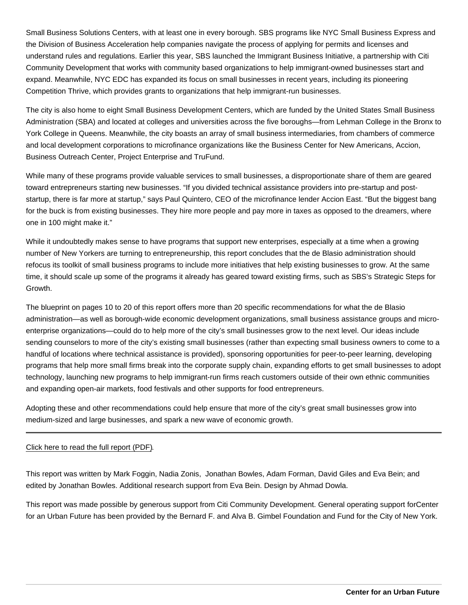Small Business Solutions Centers, with at least one in every borough. SBS programs like NYC Small Business Express and the Division of Business Acceleration help companies navigate the process of applying for permits and licenses and understand rules and regulations. Earlier this year, SBS launched the Immigrant Business Initiative, a partnership with Citi Community Development that works with community based organizations to help immigrant-owned businesses start and expand. Meanwhile, NYC EDC has expanded its focus on small businesses in recent years, including its pioneering Competition Thrive, which provides grants to organizations that help immigrant-run businesses.

The city is also home to eight Small Business Development Centers, which are funded by the United States Small Business Administration (SBA) and located at colleges and universities across the five boroughs—from Lehman College in the Bronx to York College in Queens. Meanwhile, the city boasts an array of small business intermediaries, from chambers of commerce and local development corporations to microfinance organizations like the Business Center for New Americans, Accion, Business Outreach Center, Project Enterprise and TruFund.

While many of these programs provide valuable services to small businesses, a disproportionate share of them are geared toward entrepreneurs starting new businesses. "If you divided technical assistance providers into pre-startup and poststartup, there is far more at startup," says Paul Quintero, CEO of the microfinance lender Accion East. "But the biggest bang for the buck is from existing businesses. They hire more people and pay more in taxes as opposed to the dreamers, where one in 100 might make it."

While it undoubtedly makes sense to have programs that support new enterprises, especially at a time when a growing number of New Yorkers are turning to entrepreneurship, this report concludes that the de Blasio administration should refocus its toolkit of small business programs to include more initiatives that help existing businesses to grow. At the same time, it should scale up some of the programs it already has geared toward existing firms, such as SBS's Strategic Steps for Growth.

The blueprint on pages 10 to 20 of this report offers more than 20 specific recommendations for what the de Blasio administration—as well as borough-wide economic development organizations, small business assistance groups and microenterprise organizations—could do to help more of the city's small businesses grow to the next level. Our ideas include sending counselors to more of the city's existing small businesses (rather than expecting small business owners to come to a handful of locations where technical assistance is provided), sponsoring opportunities for peer-to-peer learning, developing programs that help more small firms break into the corporate supply chain, expanding efforts to get small businesses to adopt technology, launching new programs to help immigrant-run firms reach customers outside of their own ethnic communities and expanding open-air markets, food festivals and other supports for food entrepreneurs.

Adopting these and other recommendations could help ensure that more of the city's great small businesses grow into medium-sized and large businesses, and spark a new wave of economic growth.

## [Click here to read the full report \(PDF\).](/pdf/Small-Business-Success.pdf)

This report was written by Mark Foggin, Nadia Zonis, Jonathan Bowles, Adam Forman, David Giles and Eva Bein; and edited by Jonathan Bowles. Additional research support from Eva Bein. Design by Ahmad Dowla.

This report was made possible by generous support from Citi Community Development. General operating support for Center for an Urban Future has been provided by the Bernard F. and Alva B. Gimbel Foundation and Fund for the City of New York.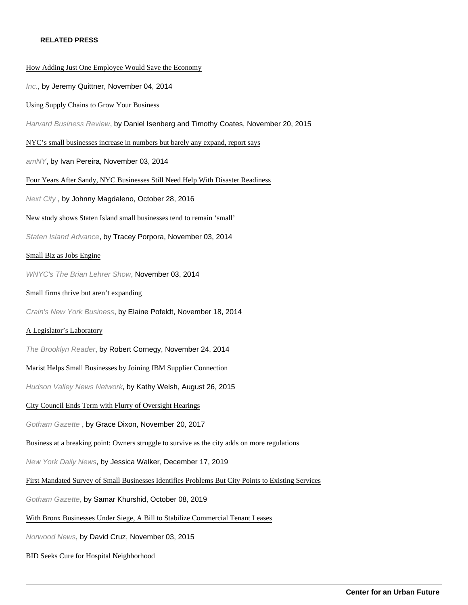## RELATED PRESS

## [How Adding Just One Employee Would Save the Econ](http://www.inc.com/jeremy-quittner/tiny-companies-can-be-biggest-drivers-for-growth.html)omy Inc., by Jeremy Quittner, November 04, 2014 [Using Supply Chains to Grow Your Busin](https://hbr.org/2015/11/using-supply-chains-to-grow-your-business)ess Harvard Business Review, by Daniel Isenberg and Timothy Coates, November 20, 2015 [NYC's small businesses increase in numbers but barely any expand, rep](http://www.amny.com/news/city-s-small-businesses-increase-in-numbers-but-barely-any-expand-report-1.9580164)ort says amNY, by Ivan Pereira, November 03, 2014 [Four Years After Sandy, NYC Businesses Still Need Help With Disaster Rea](https://nextcity.org/daily/entry/four-years-after-sandy-nyc-businesses-still-need-help-with-disaster-readine)diness Next City , by Johnny Magdaleno, October 28, 2016 [New study shows Staten Island small businesses tend to remain](http://www.silive.com/news/index.ssf/2014/11/post_978.html) 'small' Staten Island Advance, by Tracey Porpora, November 03, 2014 [Small Biz as Jobs Engin](http://www.wnyc.org/story/small-biz-jobs-engine/)e WNYC's The Brian Lehrer Show, November 03, 2014 [Small firms thrive but aren't expandi](http://www.crainsnewyork.com/article/20141118/SMALLBIZ/311169993/small-firms-thrive-but-arent-expanding)ng Crain's New York Business, by Elaine Pofeldt, November 18, 2014 [A Legislator's Laborator](http://www.bkreader.com/2014/11/a-legislators-laboratory/)y The Brooklyn Reader, by Robert Cornegy, November 24, 2014 [Marist Helps Small Businesses by Joining IBM Supplier Conne](http://hudsonvalleynewsnetwork.com/2015/08/26/marist-helps-small-businesses-by-joining-ibm-supplier-connection/)ction Hudson Valley News Network, by Kathy Welsh, August 26, 2015 [City Council Ends Term with Flurry of Oversight Hearin](http://www.gothamgazette.com/city/7328-city-council-ends-term-with-flurry-of-oversight-hearings)gs Gotham Gazette , by Grace Dixon, November 20, 2017 [Business at a breaking point: Owners struggle to survive as the city adds on more re](https://www.nydailynews.com/opinion/ny-oped-businesses-at-the-breaking-point-20191217-w2syxm3sfrfnnjywfjrzuoezpu-story.html)gulations New York Daily News, by Jessica Walker, December 17, 2019 [First Mandated Survey of Small Businesses Identifies Problems But City Points to Existing S](https://www.gothamgazette.com/city/8836-first-mandated-city-survey-of-small-businesses-identifies-problems)ervices Gotham Gazette, by Samar Khurshid, October 08, 2019 [With Bronx Businesses Under Siege, A Bill to Stabilize Commercial Tenant L](http://www.norwoodnews.org/id=19427&story=with-bronx-businesses-under-siege-a-bill-to-stabilize-commercial-tenant-leases/)eases Norwood News, by David Cruz, November 03, 2015 [BID Seeks Cure for Hospital Neighborho](https://www.nycitynewsservice.com/2020/02/bid-seeks-cure-for-hospital-neighborhood/)od